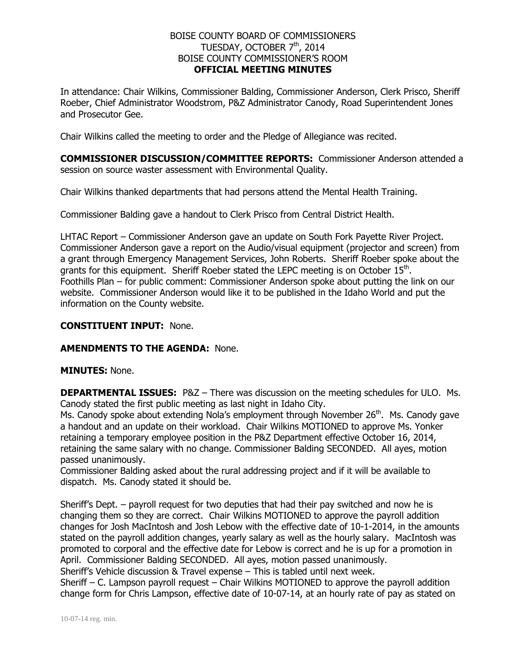## BOISE COUNTY BOARD OF COMMISSIONERS TUESDAY, OCTOBER 7<sup>th</sup>, 2014 BOISE COUNTY COMMISSIONER'S ROOM **OFFICIAL MEETING MINUTES**

In attendance: Chair Wilkins, Commissioner Balding, Commissioner Anderson, Clerk Prisco, Sheriff Roeber, Chief Administrator Woodstrom, P&Z Administrator Canody, Road Superintendent Jones and Prosecutor Gee.

Chair Wilkins called the meeting to order and the Pledge of Allegiance was recited.

**COMMISSIONER DISCUSSION/COMMITTEE REPORTS:** Commissioner Anderson attended a session on source waster assessment with Environmental Quality.

Chair Wilkins thanked departments that had persons attend the Mental Health Training.

Commissioner Balding gave a handout to Clerk Prisco from Central District Health.

LHTAC Report – Commissioner Anderson gave an update on South Fork Payette River Project. Commissioner Anderson gave a report on the Audio/visual equipment (projector and screen) from a grant through Emergency Management Services, John Roberts. Sheriff Roeber spoke about the grants for this equipment. Sheriff Roeber stated the LEPC meeting is on October  $15^{\text{th}}$ . Foothills Plan – for public comment: Commissioner Anderson spoke about putting the link on our website. Commissioner Anderson would like it to be published in the Idaho World and put the information on the County website.

### **CONSTITUENT INPUT:** None.

#### **AMENDMENTS TO THE AGENDA:** None.

#### **MINUTES:** None.

**DEPARTMENTAL ISSUES:** P&Z – There was discussion on the meeting schedules for ULO. Ms. Canody stated the first public meeting as last night in Idaho City.

Ms. Canody spoke about extending Nola's employment through November 26<sup>th</sup>. Ms. Canody gave a handout and an update on their workload. Chair Wilkins MOTIONED to approve Ms. Yonker retaining a temporary employee position in the P&Z Department effective October 16, 2014, retaining the same salary with no change. Commissioner Balding SECONDED. All ayes, motion passed unanimously.

Commissioner Balding asked about the rural addressing project and if it will be available to dispatch. Ms. Canody stated it should be.

Sheriff's Dept. – payroll request for two deputies that had their pay switched and now he is changing them so they are correct. Chair Wilkins MOTIONED to approve the payroll addition changes for Josh MacIntosh and Josh Lebow with the effective date of 10-1-2014, in the amounts stated on the payroll addition changes, yearly salary as well as the hourly salary. MacIntosh was promoted to corporal and the effective date for Lebow is correct and he is up for a promotion in April. Commissioner Balding SECONDED. All ayes, motion passed unanimously.

Sheriff's Vehicle discussion & Travel expense – This is tabled until next week.

Sheriff – C. Lampson payroll request – Chair Wilkins MOTIONED to approve the payroll addition change form for Chris Lampson, effective date of 10-07-14, at an hourly rate of pay as stated on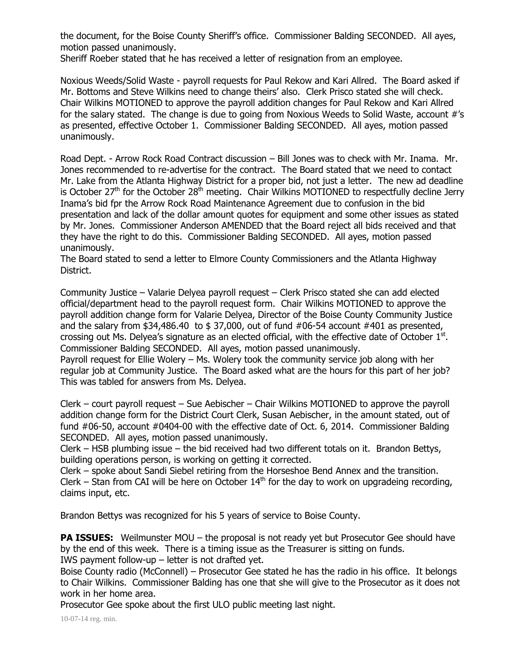the document, for the Boise County Sheriff's office. Commissioner Balding SECONDED. All ayes, motion passed unanimously.

Sheriff Roeber stated that he has received a letter of resignation from an employee.

Noxious Weeds/Solid Waste - payroll requests for Paul Rekow and Kari Allred. The Board asked if Mr. Bottoms and Steve Wilkins need to change theirs' also. Clerk Prisco stated she will check. Chair Wilkins MOTIONED to approve the payroll addition changes for Paul Rekow and Kari Allred for the salary stated. The change is due to going from Noxious Weeds to Solid Waste, account #'s as presented, effective October 1. Commissioner Balding SECONDED. All ayes, motion passed unanimously.

Road Dept. - Arrow Rock Road Contract discussion – Bill Jones was to check with Mr. Inama. Mr. Jones recommended to re-advertise for the contract. The Board stated that we need to contact Mr. Lake from the Atlanta Highway District for a proper bid, not just a letter. The new ad deadline is October 27<sup>th</sup> for the October 28<sup>th</sup> meeting. Chair Wilkins MOTIONED to respectfully decline Jerry Inama's bid fpr the Arrow Rock Road Maintenance Agreement due to confusion in the bid presentation and lack of the dollar amount quotes for equipment and some other issues as stated by Mr. Jones. Commissioner Anderson AMENDED that the Board reject all bids received and that they have the right to do this. Commissioner Balding SECONDED. All ayes, motion passed unanimously.

The Board stated to send a letter to Elmore County Commissioners and the Atlanta Highway District.

Community Justice – Valarie Delyea payroll request – Clerk Prisco stated she can add elected official/department head to the payroll request form. Chair Wilkins MOTIONED to approve the payroll addition change form for Valarie Delyea, Director of the Boise County Community Justice and the salary from  $$34,486.40$  to  $$37,000$ , out of fund  $#06-54$  account  $#401$  as presented, crossing out Ms. Delyea's signature as an elected official, with the effective date of October  $1<sup>st</sup>$ . Commissioner Balding SECONDED. All ayes, motion passed unanimously.

Payroll request for Ellie Wolery – Ms. Wolery took the community service job along with her regular job at Community Justice. The Board asked what are the hours for this part of her job? This was tabled for answers from Ms. Delyea.

Clerk – court payroll request – Sue Aebischer – Chair Wilkins MOTIONED to approve the payroll addition change form for the District Court Clerk, Susan Aebischer, in the amount stated, out of fund #06-50, account #0404-00 with the effective date of Oct. 6, 2014. Commissioner Balding SECONDED. All ayes, motion passed unanimously.

Clerk – HSB plumbing issue – the bid received had two different totals on it. Brandon Bettys, building operations person, is working on getting it corrected.

Clerk – spoke about Sandi Siebel retiring from the Horseshoe Bend Annex and the transition. Clerk – Stan from CAI will be here on October  $14<sup>th</sup>$  for the day to work on upgradeing recording, claims input, etc.

Brandon Bettys was recognized for his 5 years of service to Boise County.

**PA ISSUES:** Weilmunster MOU – the proposal is not ready yet but Prosecutor Gee should have by the end of this week. There is a timing issue as the Treasurer is sitting on funds. IWS payment follow-up – letter is not drafted yet.

Boise County radio (McConnell) – Prosecutor Gee stated he has the radio in his office. It belongs to Chair Wilkins. Commissioner Balding has one that she will give to the Prosecutor as it does not work in her home area.

Prosecutor Gee spoke about the first ULO public meeting last night.

10-07-14 reg. min.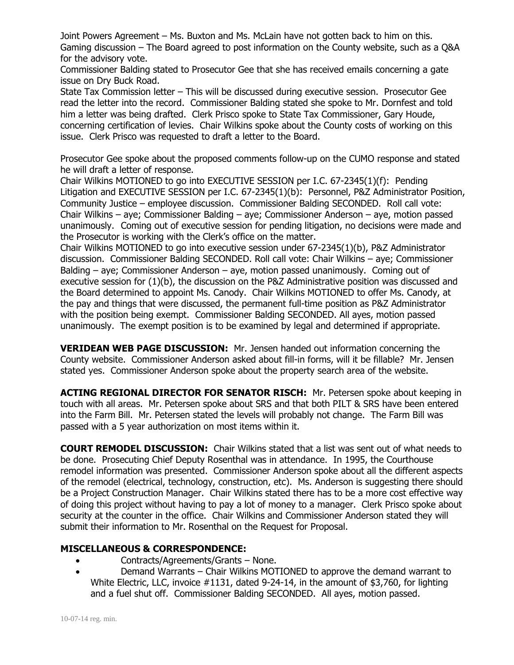Joint Powers Agreement – Ms. Buxton and Ms. McLain have not gotten back to him on this. Gaming discussion – The Board agreed to post information on the County website, such as a Q&A for the advisory vote.

Commissioner Balding stated to Prosecutor Gee that she has received emails concerning a gate issue on Dry Buck Road.

State Tax Commission letter – This will be discussed during executive session. Prosecutor Gee read the letter into the record. Commissioner Balding stated she spoke to Mr. Dornfest and told him a letter was being drafted. Clerk Prisco spoke to State Tax Commissioner, Gary Houde, concerning certification of levies. Chair Wilkins spoke about the County costs of working on this issue. Clerk Prisco was requested to draft a letter to the Board.

Prosecutor Gee spoke about the proposed comments follow-up on the CUMO response and stated he will draft a letter of response.

Chair Wilkins MOTIONED to go into EXECUTIVE SESSION per I.C. 67-2345(1)(f): Pending Litigation and EXECUTIVE SESSION per I.C. 67-2345(1)(b): Personnel, P&Z Administrator Position, Community Justice – employee discussion. Commissioner Balding SECONDED. Roll call vote: Chair Wilkins – aye; Commissioner Balding – aye; Commissioner Anderson – aye, motion passed unanimously. Coming out of executive session for pending litigation, no decisions were made and the Prosecutor is working with the Clerk's office on the matter.

Chair Wilkins MOTIONED to go into executive session under 67-2345(1)(b), P&Z Administrator discussion. Commissioner Balding SECONDED. Roll call vote: Chair Wilkins – aye; Commissioner Balding – aye; Commissioner Anderson – aye, motion passed unanimously. Coming out of executive session for (1)(b), the discussion on the P&Z Administrative position was discussed and the Board determined to appoint Ms. Canody. Chair Wilkins MOTIONED to offer Ms. Canody, at the pay and things that were discussed, the permanent full-time position as P&Z Administrator with the position being exempt. Commissioner Balding SECONDED. All ayes, motion passed unanimously. The exempt position is to be examined by legal and determined if appropriate.

**VERIDEAN WEB PAGE DISCUSSION:** Mr. Jensen handed out information concerning the County website. Commissioner Anderson asked about fill-in forms, will it be fillable? Mr. Jensen stated yes. Commissioner Anderson spoke about the property search area of the website.

**ACTING REGIONAL DIRECTOR FOR SENATOR RISCH:** Mr. Petersen spoke about keeping in touch with all areas. Mr. Petersen spoke about SRS and that both PILT & SRS have been entered into the Farm Bill. Mr. Petersen stated the levels will probably not change. The Farm Bill was passed with a 5 year authorization on most items within it.

**COURT REMODEL DISCUSSION:** Chair Wilkins stated that a list was sent out of what needs to be done. Prosecuting Chief Deputy Rosenthal was in attendance. In 1995, the Courthouse remodel information was presented. Commissioner Anderson spoke about all the different aspects of the remodel (electrical, technology, construction, etc). Ms. Anderson is suggesting there should be a Project Construction Manager. Chair Wilkins stated there has to be a more cost effective way of doing this project without having to pay a lot of money to a manager. Clerk Prisco spoke about security at the counter in the office. Chair Wilkins and Commissioner Anderson stated they will submit their information to Mr. Rosenthal on the Request for Proposal.

# **MISCELLANEOUS & CORRESPONDENCE:**

- Contracts/Agreements/Grants None.
- Demand Warrants Chair Wilkins MOTIONED to approve the demand warrant to White Electric, LLC, invoice #1131, dated 9-24-14, in the amount of \$3,760, for lighting and a fuel shut off. Commissioner Balding SECONDED. All ayes, motion passed.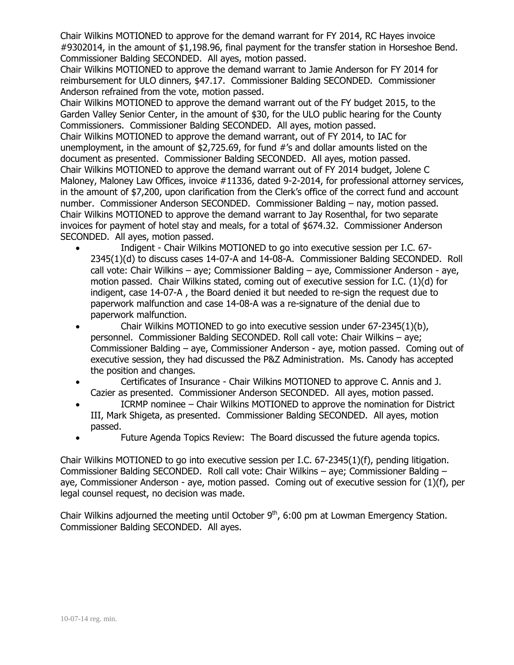Chair Wilkins MOTIONED to approve for the demand warrant for FY 2014, RC Hayes invoice #9302014, in the amount of \$1,198.96, final payment for the transfer station in Horseshoe Bend. Commissioner Balding SECONDED. All ayes, motion passed.

Chair Wilkins MOTIONED to approve the demand warrant to Jamie Anderson for FY 2014 for reimbursement for ULO dinners, \$47.17. Commissioner Balding SECONDED. Commissioner Anderson refrained from the vote, motion passed.

Chair Wilkins MOTIONED to approve the demand warrant out of the FY budget 2015, to the Garden Valley Senior Center, in the amount of \$30, for the ULO public hearing for the County Commissioners. Commissioner Balding SECONDED. All ayes, motion passed.

Chair Wilkins MOTIONED to approve the demand warrant, out of FY 2014, to IAC for unemployment, in the amount of \$2,725.69, for fund #'s and dollar amounts listed on the document as presented. Commissioner Balding SECONDED. All ayes, motion passed. Chair Wilkins MOTIONED to approve the demand warrant out of FY 2014 budget, Jolene C Maloney, Maloney Law Offices, invoice #11336, dated 9-2-2014, for professional attorney services, in the amount of \$7,200, upon clarification from the Clerk's office of the correct fund and account number. Commissioner Anderson SECONDED. Commissioner Balding – nay, motion passed. Chair Wilkins MOTIONED to approve the demand warrant to Jay Rosenthal, for two separate invoices for payment of hotel stay and meals, for a total of \$674.32. Commissioner Anderson SECONDED. All ayes, motion passed.

- Indigent Chair Wilkins MOTIONED to go into executive session per I.C. 67- 2345(1)(d) to discuss cases 14-07-A and 14-08-A. Commissioner Balding SECONDED. Roll call vote: Chair Wilkins – aye; Commissioner Balding – aye, Commissioner Anderson - aye, motion passed. Chair Wilkins stated, coming out of executive session for I.C. (1)(d) for indigent, case 14-07-A , the Board denied it but needed to re-sign the request due to paperwork malfunction and case 14-08-A was a re-signature of the denial due to paperwork malfunction.
- Chair Wilkins MOTIONED to go into executive session under 67-2345(1)(b), personnel. Commissioner Balding SECONDED. Roll call vote: Chair Wilkins – aye; Commissioner Balding – aye, Commissioner Anderson - aye, motion passed. Coming out of executive session, they had discussed the P&Z Administration. Ms. Canody has accepted the position and changes.
- Certificates of Insurance Chair Wilkins MOTIONED to approve C. Annis and J. Cazier as presented. Commissioner Anderson SECONDED. All ayes, motion passed.
- ICRMP nominee Chair Wilkins MOTIONED to approve the nomination for District III, Mark Shigeta, as presented. Commissioner Balding SECONDED. All ayes, motion passed.
- Future Agenda Topics Review: The Board discussed the future agenda topics.

Chair Wilkins MOTIONED to go into executive session per I.C. 67-2345(1)(f), pending litigation. Commissioner Balding SECONDED. Roll call vote: Chair Wilkins – aye; Commissioner Balding – aye, Commissioner Anderson - aye, motion passed. Coming out of executive session for (1)(f), per legal counsel request, no decision was made.

Chair Wilkins adjourned the meeting until October  $9<sup>th</sup>$ , 6:00 pm at Lowman Emergency Station. Commissioner Balding SECONDED. All ayes.